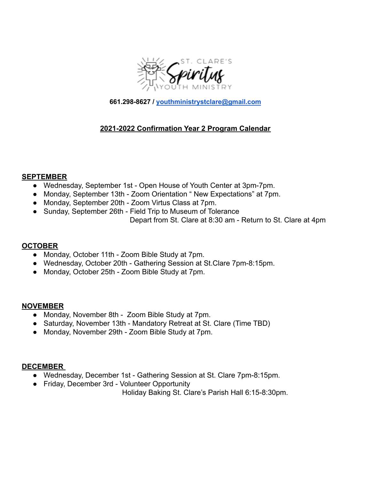

**661.298-8627 / [youthministrystclare@gmail.com](mailto:youthministrystclare@gmail.com)**

# **2021-2022 Confirmation Year 2 Program Calendar**

#### **SEPTEMBER**

- Wednesday, September 1st Open House of Youth Center at 3pm-7pm.
- Monday, September 13th Zoom Orientation " New Expectations" at 7pm.
- Monday, September 20th Zoom Virtus Class at 7pm.
- Sunday, September 26th Field Trip to Museum of Tolerance

Depart from St. Clare at 8:30 am - Return to St. Clare at 4pm

# **OCTOBER**

- Monday, October 11th Zoom Bible Study at 7pm.
- Wednesday, October 20th Gathering Session at St.Clare 7pm-8:15pm.
- Monday, October 25th Zoom Bible Study at 7pm.

#### **NOVEMBER**

- Monday, November 8th Zoom Bible Study at 7pm.
- Saturday, November 13th Mandatory Retreat at St. Clare (Time TBD)
- Monday, November 29th Zoom Bible Study at 7pm.

#### **DECEMBER**

- Wednesday, December 1st Gathering Session at St. Clare 7pm-8:15pm.
- Friday, December 3rd Volunteer Opportunity

Holiday Baking St. Clare's Parish Hall 6:15-8:30pm.